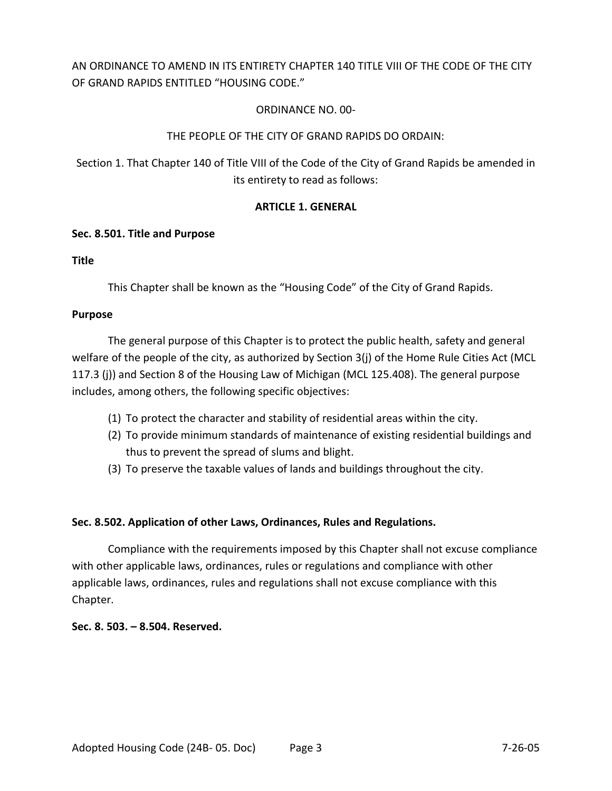# AN ORDINANCE TO AMEND IN ITS ENTIRETY CHAPTER 140 TITLE VIII OF THE CODE OF THE CITY OF GRAND RAPIDS ENTITLED "HOUSING CODE."

# ORDINANCE NO. 00-

## THE PEOPLE OF THE CITY OF GRAND RAPIDS DO ORDAIN:

Section 1. That Chapter 140 of Title VIII of the Code of the City of Grand Rapids be amended in its entirety to read as follows:

## **ARTICLE 1. GENERAL**

## **Sec. 8.501. Title and Purpose**

## **Title**

This Chapter shall be known as the "Housing Code" of the City of Grand Rapids.

#### **Purpose**

The general purpose of this Chapter is to protect the public health, safety and general welfare of the people of the city, as authorized by Section 3(j) of the Home Rule Cities Act (MCL 117.3 (j)) and Section 8 of the Housing Law of Michigan (MCL 125.408). The general purpose includes, among others, the following specific objectives:

- (1) To protect the character and stability of residential areas within the city.
- (2) To provide minimum standards of maintenance of existing residential buildings and thus to prevent the spread of slums and blight.
- (3) To preserve the taxable values of lands and buildings throughout the city.

## **Sec. 8.502. Application of other Laws, Ordinances, Rules and Regulations.**

Compliance with the requirements imposed by this Chapter shall not excuse compliance with other applicable laws, ordinances, rules or regulations and compliance with other applicable laws, ordinances, rules and regulations shall not excuse compliance with this Chapter.

**Sec. 8. 503. – 8.504. Reserved.**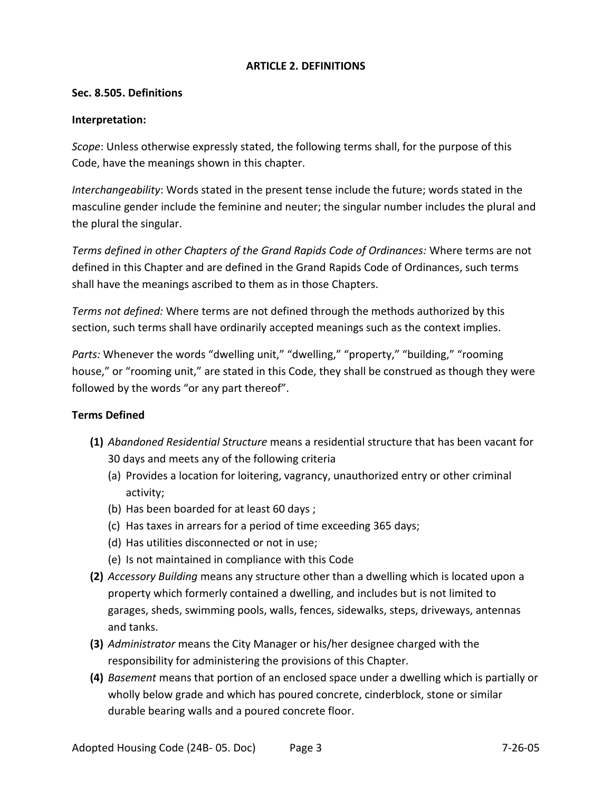## **ARTICLE 2. DEFINITIONS**

#### **Sec. 8.505. Definitions**

#### **Interpretation:**

*Scope*: Unless otherwise expressly stated, the following terms shall, for the purpose of this Code, have the meanings shown in this chapter.

*Interchangeability*: Words stated in the present tense include the future; words stated in the masculine gender include the feminine and neuter; the singular number includes the plural and the plural the singular.

*Terms defined in other Chapters of the Grand Rapids Code of Ordinances:* Where terms are not defined in this Chapter and are defined in the Grand Rapids Code of Ordinances, such terms shall have the meanings ascribed to them as in those Chapters.

*Terms not defined:* Where terms are not defined through the methods authorized by this section, such terms shall have ordinarily accepted meanings such as the context implies.

*Parts:* Whenever the words "dwelling unit," "dwelling," "property," "building," "rooming house," or "rooming unit," are stated in this Code, they shall be construed as though they were followed by the words "or any part thereof".

## **Terms Defined**

- **(1)** *Abandoned Residential Structure* means a residential structure that has been vacant for 30 days and meets any of the following criteria
	- (a) Provides a location for loitering, vagrancy, unauthorized entry or other criminal activity;
	- (b) Has been boarded for at least 60 days ;
	- (c) Has taxes in arrears for a period of time exceeding 365 days;
	- (d) Has utilities disconnected or not in use;
	- (e) Is not maintained in compliance with this Code
- **(2)** *Accessory Building* means any structure other than a dwelling which is located upon a property which formerly contained a dwelling, and includes but is not limited to garages, sheds, swimming pools, walls, fences, sidewalks, steps, driveways, antennas and tanks.
- **(3)** *Administrator* means the City Manager or his/her designee charged with the responsibility for administering the provisions of this Chapter.
- **(4)** *Basement* means that portion of an enclosed space under a dwelling which is partially or wholly below grade and which has poured concrete, cinderblock, stone or similar durable bearing walls and a poured concrete floor.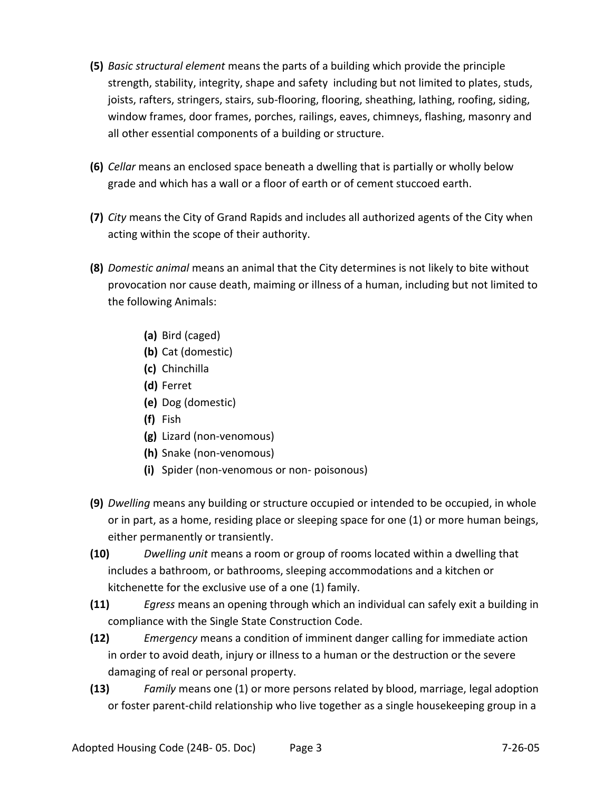- **(5)** *Basic structural element* means the parts of a building which provide the principle strength, stability, integrity, shape and safety including but not limited to plates, studs, joists, rafters, stringers, stairs, sub-flooring, flooring, sheathing, lathing, roofing, siding, window frames, door frames, porches, railings, eaves, chimneys, flashing, masonry and all other essential components of a building or structure.
- **(6)** *Cellar* means an enclosed space beneath a dwelling that is partially or wholly below grade and which has a wall or a floor of earth or of cement stuccoed earth.
- **(7)** *City* means the City of Grand Rapids and includes all authorized agents of the City when acting within the scope of their authority.
- **(8)** *Domestic animal* means an animal that the City determines is not likely to bite without provocation nor cause death, maiming or illness of a human, including but not limited to the following Animals:
	- **(a)** Bird (caged)
	- **(b)** Cat (domestic)
	- **(c)** Chinchilla
	- **(d)** Ferret
	- **(e)** Dog (domestic)
	- **(f)** Fish
	- **(g)** Lizard (non-venomous)
	- **(h)** Snake (non-venomous)
	- **(i)** Spider (non-venomous or non- poisonous)
- **(9)** *Dwelling* means any building or structure occupied or intended to be occupied, in whole or in part, as a home, residing place or sleeping space for one (1) or more human beings, either permanently or transiently.
- **(10)** *Dwelling unit* means a room or group of rooms located within a dwelling that includes a bathroom, or bathrooms, sleeping accommodations and a kitchen or kitchenette for the exclusive use of a one (1) family.
- **(11)** *Egress* means an opening through which an individual can safely exit a building in compliance with the Single State Construction Code.
- **(12)** *Emergency* means a condition of imminent danger calling for immediate action in order to avoid death, injury or illness to a human or the destruction or the severe damaging of real or personal property.
- **(13)** *Family* means one (1) or more persons related by blood, marriage, legal adoption or foster parent-child relationship who live together as a single housekeeping group in a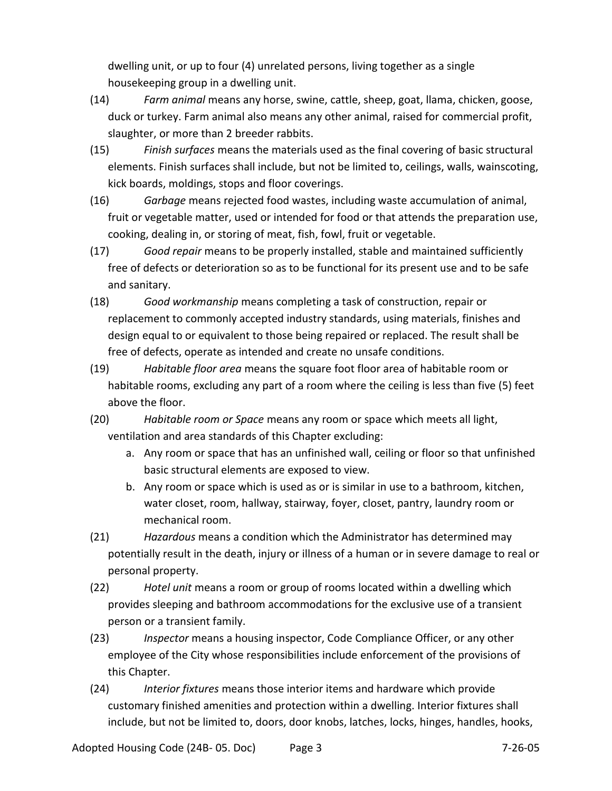dwelling unit, or up to four (4) unrelated persons, living together as a single housekeeping group in a dwelling unit.

- (14) *Farm animal* means any horse, swine, cattle, sheep, goat, llama, chicken, goose, duck or turkey. Farm animal also means any other animal, raised for commercial profit, slaughter, or more than 2 breeder rabbits.
- (15) *Finish surfaces* means the materials used as the final covering of basic structural elements. Finish surfaces shall include, but not be limited to, ceilings, walls, wainscoting, kick boards, moldings, stops and floor coverings.
- (16) *Garbage* means rejected food wastes, including waste accumulation of animal, fruit or vegetable matter, used or intended for food or that attends the preparation use, cooking, dealing in, or storing of meat, fish, fowl, fruit or vegetable.
- (17) *Good repair* means to be properly installed, stable and maintained sufficiently free of defects or deterioration so as to be functional for its present use and to be safe and sanitary.
- (18) *Good workmanship* means completing a task of construction, repair or replacement to commonly accepted industry standards, using materials, finishes and design equal to or equivalent to those being repaired or replaced. The result shall be free of defects, operate as intended and create no unsafe conditions.
- (19) *Habitable floor area* means the square foot floor area of habitable room or habitable rooms, excluding any part of a room where the ceiling is less than five (5) feet above the floor.
- (20) *Habitable room or Space* means any room or space which meets all light, ventilation and area standards of this Chapter excluding:
	- a. Any room or space that has an unfinished wall, ceiling or floor so that unfinished basic structural elements are exposed to view.
	- b. Any room or space which is used as or is similar in use to a bathroom, kitchen, water closet, room, hallway, stairway, foyer, closet, pantry, laundry room or mechanical room.
- (21) *Hazardous* means a condition which the Administrator has determined may potentially result in the death, injury or illness of a human or in severe damage to real or personal property.
- (22) *Hotel unit* means a room or group of rooms located within a dwelling which provides sleeping and bathroom accommodations for the exclusive use of a transient person or a transient family.
- (23) *Inspector* means a housing inspector, Code Compliance Officer, or any other employee of the City whose responsibilities include enforcement of the provisions of this Chapter.
- (24) *Interior fixtures* means those interior items and hardware which provide customary finished amenities and protection within a dwelling. Interior fixtures shall include, but not be limited to, doors, door knobs, latches, locks, hinges, handles, hooks,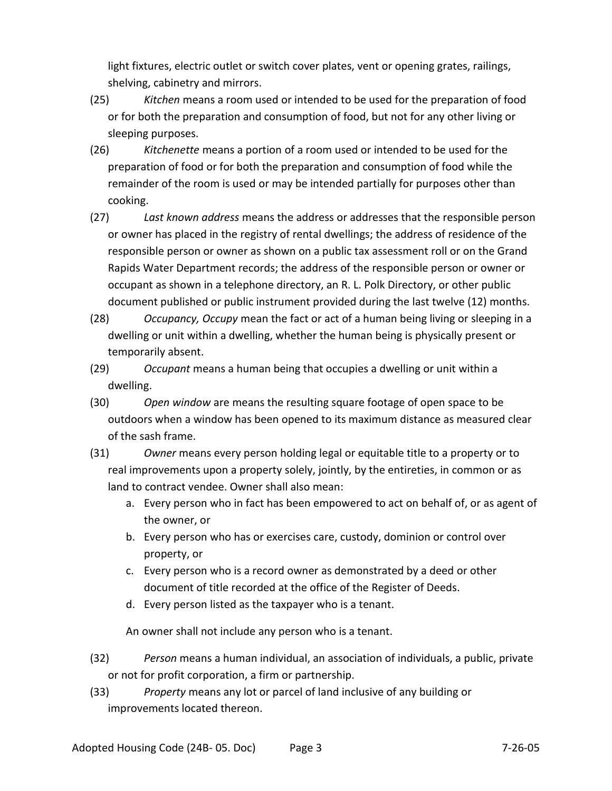light fixtures, electric outlet or switch cover plates, vent or opening grates, railings, shelving, cabinetry and mirrors.

- (25) *Kitchen* means a room used or intended to be used for the preparation of food or for both the preparation and consumption of food, but not for any other living or sleeping purposes.
- (26) *Kitchenette* means a portion of a room used or intended to be used for the preparation of food or for both the preparation and consumption of food while the remainder of the room is used or may be intended partially for purposes other than cooking.
- (27) *Last known address* means the address or addresses that the responsible person or owner has placed in the registry of rental dwellings; the address of residence of the responsible person or owner as shown on a public tax assessment roll or on the Grand Rapids Water Department records; the address of the responsible person or owner or occupant as shown in a telephone directory, an R. L. Polk Directory, or other public document published or public instrument provided during the last twelve (12) months.
- (28) *Occupancy, Occupy* mean the fact or act of a human being living or sleeping in a dwelling or unit within a dwelling, whether the human being is physically present or temporarily absent.
- (29) *Occupant* means a human being that occupies a dwelling or unit within a dwelling.
- (30) *Open window* are means the resulting square footage of open space to be outdoors when a window has been opened to its maximum distance as measured clear of the sash frame.
- (31) *Owner* means every person holding legal or equitable title to a property or to real improvements upon a property solely, jointly, by the entireties, in common or as land to contract vendee. Owner shall also mean:
	- a. Every person who in fact has been empowered to act on behalf of, or as agent of the owner, or
	- b. Every person who has or exercises care, custody, dominion or control over property, or
	- c. Every person who is a record owner as demonstrated by a deed or other document of title recorded at the office of the Register of Deeds.
	- d. Every person listed as the taxpayer who is a tenant.

An owner shall not include any person who is a tenant.

- (32) *Person* means a human individual, an association of individuals, a public, private or not for profit corporation, a firm or partnership.
- (33) *Property* means any lot or parcel of land inclusive of any building or improvements located thereon.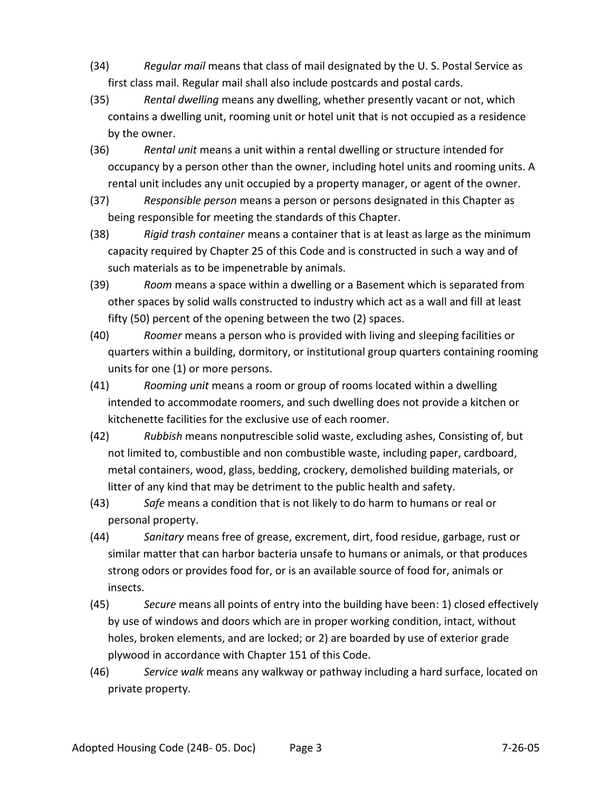- (34) *Regular mail* means that class of mail designated by the U. S. Postal Service as first class mail. Regular mail shall also include postcards and postal cards.
- (35) *Rental dwelling* means any dwelling, whether presently vacant or not, which contains a dwelling unit, rooming unit or hotel unit that is not occupied as a residence by the owner.
- (36) *Rental unit* means a unit within a rental dwelling or structure intended for occupancy by a person other than the owner, including hotel units and rooming units. A rental unit includes any unit occupied by a property manager, or agent of the owner.
- (37) *Responsible person* means a person or persons designated in this Chapter as being responsible for meeting the standards of this Chapter.
- (38) *Rigid trash container* means a container that is at least as large as the minimum capacity required by Chapter 25 of this Code and is constructed in such a way and of such materials as to be impenetrable by animals.
- (39) *Room* means a space within a dwelling or a Basement which is separated from other spaces by solid walls constructed to industry which act as a wall and fill at least fifty (50) percent of the opening between the two (2) spaces.
- (40) *Roomer* means a person who is provided with living and sleeping facilities or quarters within a building, dormitory, or institutional group quarters containing rooming units for one (1) or more persons.
- (41) *Rooming unit* means a room or group of rooms located within a dwelling intended to accommodate roomers, and such dwelling does not provide a kitchen or kitchenette facilities for the exclusive use of each roomer.
- (42) *Rubbish* means nonputrescible solid waste, excluding ashes, Consisting of, but not limited to, combustible and non combustible waste, including paper, cardboard, metal containers, wood, glass, bedding, crockery, demolished building materials, or litter of any kind that may be detriment to the public health and safety.
- (43) *Safe* means a condition that is not likely to do harm to humans or real or personal property.
- (44) *Sanitary* means free of grease, excrement, dirt, food residue, garbage, rust or similar matter that can harbor bacteria unsafe to humans or animals, or that produces strong odors or provides food for, or is an available source of food for, animals or insects.
- (45) *Secure* means all points of entry into the building have been: 1) closed effectively by use of windows and doors which are in proper working condition, intact, without holes, broken elements, and are locked; or 2) are boarded by use of exterior grade plywood in accordance with Chapter 151 of this Code.
- (46) *Service walk* means any walkway or pathway including a hard surface, located on private property.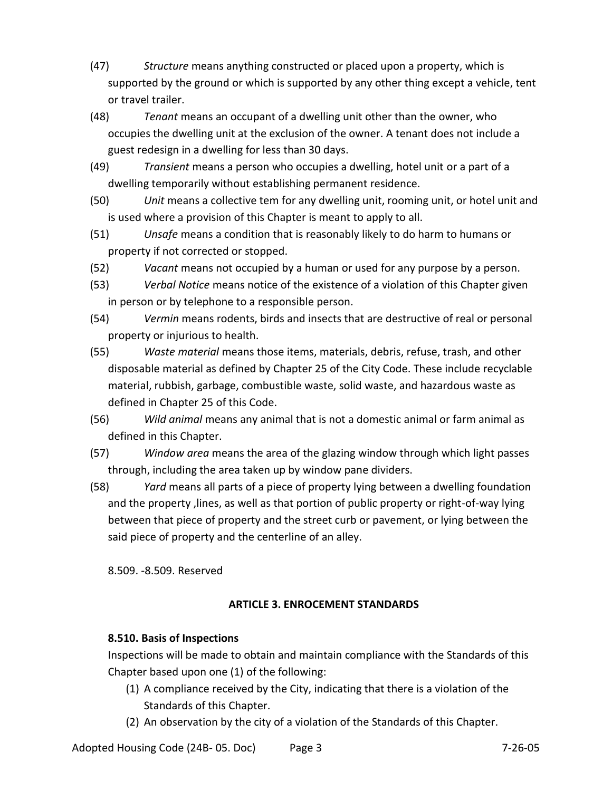- (47) *Structure* means anything constructed or placed upon a property, which is supported by the ground or which is supported by any other thing except a vehicle, tent or travel trailer.
- (48) *Tenant* means an occupant of a dwelling unit other than the owner, who occupies the dwelling unit at the exclusion of the owner. A tenant does not include a guest redesign in a dwelling for less than 30 days.
- (49) *Transient* means a person who occupies a dwelling, hotel unit or a part of a dwelling temporarily without establishing permanent residence.
- (50) *Unit* means a collective tem for any dwelling unit, rooming unit, or hotel unit and is used where a provision of this Chapter is meant to apply to all.
- (51) *Unsafe* means a condition that is reasonably likely to do harm to humans or property if not corrected or stopped.
- (52) *Vacant* means not occupied by a human or used for any purpose by a person.
- (53) *Verbal Notice* means notice of the existence of a violation of this Chapter given in person or by telephone to a responsible person.
- (54) *Vermin* means rodents, birds and insects that are destructive of real or personal property or injurious to health.
- (55) *Waste material* means those items, materials, debris, refuse, trash, and other disposable material as defined by Chapter 25 of the City Code. These include recyclable material, rubbish, garbage, combustible waste, solid waste, and hazardous waste as defined in Chapter 25 of this Code.
- (56) *Wild animal* means any animal that is not a domestic animal or farm animal as defined in this Chapter.
- (57) *Window area* means the area of the glazing window through which light passes through, including the area taken up by window pane dividers.
- (58) *Yard* means all parts of a piece of property lying between a dwelling foundation and the property ,lines, as well as that portion of public property or right-of-way lying between that piece of property and the street curb or pavement, or lying between the said piece of property and the centerline of an alley.

8.509. -8.509. Reserved

# **ARTICLE 3. ENROCEMENT STANDARDS**

# **8.510. Basis of Inspections**

Inspections will be made to obtain and maintain compliance with the Standards of this Chapter based upon one (1) of the following:

- (1) A compliance received by the City, indicating that there is a violation of the Standards of this Chapter.
- (2) An observation by the city of a violation of the Standards of this Chapter.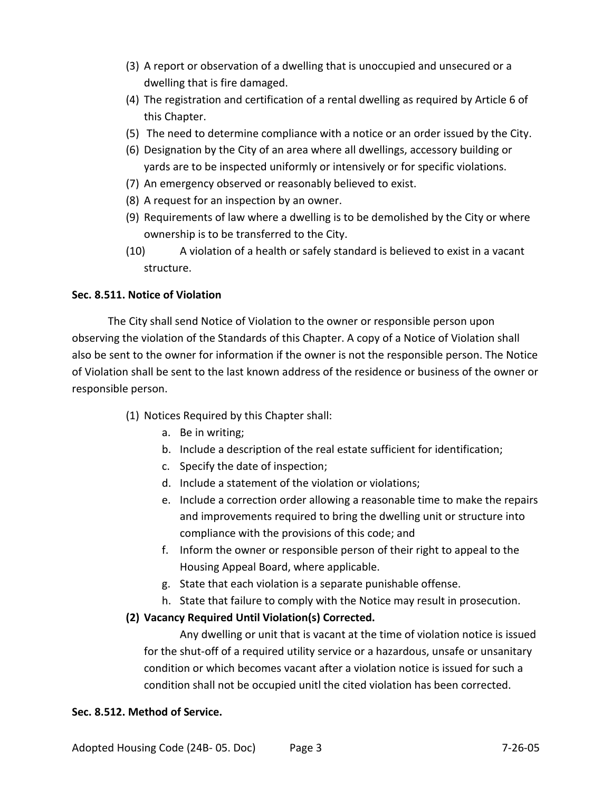- (3) A report or observation of a dwelling that is unoccupied and unsecured or a dwelling that is fire damaged.
- (4) The registration and certification of a rental dwelling as required by Article 6 of this Chapter.
- (5) The need to determine compliance with a notice or an order issued by the City.
- (6) Designation by the City of an area where all dwellings, accessory building or yards are to be inspected uniformly or intensively or for specific violations.
- (7) An emergency observed or reasonably believed to exist.
- (8) A request for an inspection by an owner.
- (9) Requirements of law where a dwelling is to be demolished by the City or where ownership is to be transferred to the City.
- (10) A violation of a health or safely standard is believed to exist in a vacant structure.

## **Sec. 8.511. Notice of Violation**

The City shall send Notice of Violation to the owner or responsible person upon observing the violation of the Standards of this Chapter. A copy of a Notice of Violation shall also be sent to the owner for information if the owner is not the responsible person. The Notice of Violation shall be sent to the last known address of the residence or business of the owner or responsible person.

- (1) Notices Required by this Chapter shall:
	- a. Be in writing;
	- b. Include a description of the real estate sufficient for identification;
	- c. Specify the date of inspection;
	- d. Include a statement of the violation or violations;
	- e. Include a correction order allowing a reasonable time to make the repairs and improvements required to bring the dwelling unit or structure into compliance with the provisions of this code; and
	- f. Inform the owner or responsible person of their right to appeal to the Housing Appeal Board, where applicable.
	- g. State that each violation is a separate punishable offense.
	- h. State that failure to comply with the Notice may result in prosecution.

## **(2) Vacancy Required Until Violation(s) Corrected.**

Any dwelling or unit that is vacant at the time of violation notice is issued for the shut-off of a required utility service or a hazardous, unsafe or unsanitary condition or which becomes vacant after a violation notice is issued for such a condition shall not be occupied unitl the cited violation has been corrected.

## **Sec. 8.512. Method of Service.**